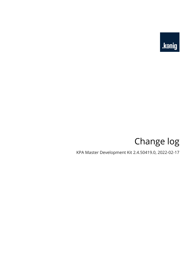

# Change log

KPA Master Development Kit 2.4.50419.0, 2022-02-17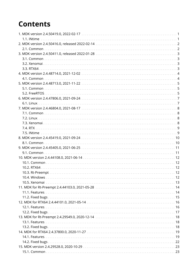# **Contents**

| 1.1. INtime |  |
|-------------|--|
|             |  |
|             |  |
|             |  |
|             |  |
|             |  |
|             |  |
|             |  |
|             |  |
|             |  |
|             |  |
|             |  |
|             |  |
| 6.1. Linux  |  |
|             |  |
|             |  |
|             |  |
|             |  |
|             |  |
|             |  |
|             |  |
|             |  |
|             |  |
|             |  |
|             |  |
|             |  |
|             |  |
|             |  |
|             |  |
|             |  |
|             |  |
|             |  |
|             |  |
|             |  |
|             |  |
|             |  |
|             |  |
|             |  |
|             |  |
|             |  |
|             |  |
|             |  |
|             |  |
|             |  |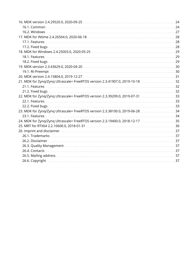| 21. MDK for Zynq/Zynq Ultrascale+ FreeRTOS version 2.3.41907.0, 2019-10-18. 32  |  |
|---------------------------------------------------------------------------------|--|
|                                                                                 |  |
|                                                                                 |  |
| 22. MDK for Zynq/Zynq Ultrascale+ FreeRTOS version 2.3.39209.0, 2019-07-31. 33  |  |
|                                                                                 |  |
|                                                                                 |  |
| 23. MDK for Zynq/Zynq Ultrascale+ FreeRTOS version 2.3.38100.0, 2019-06-28. 34  |  |
|                                                                                 |  |
| 24. MDK for Zynq/Zynq Ultrascale+ FreeRTOS version 2.3.19400.0, 2018-12-17.  35 |  |
|                                                                                 |  |
|                                                                                 |  |
|                                                                                 |  |
|                                                                                 |  |
|                                                                                 |  |
|                                                                                 |  |
|                                                                                 |  |
|                                                                                 |  |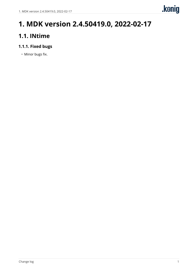

# <span id="page-3-0"></span>**1. MDK version 2.4.50419.0, 2022-02-17**

# <span id="page-3-1"></span>**1.1. INtime**

## **1.1.1. Fixed bugs**

• Minor bugs fix.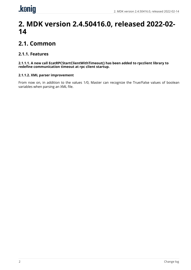# <span id="page-4-0"></span>.konig

# **2. MDK version 2.4.50416.0, released 2022-02- 14**

# <span id="page-4-1"></span>**2.1. Common**

## **2.1.1. Features**

#### **2.1.1.1. A new call EcatRPCStartClientWithTimeout() has been added to rpcclient library to redefine communication timeout at rpc client startup.**

### **2.1.1.2. XML parser improvement**

From now on, in addition to the values 1/0, Master can recognize the True/False values of boolean variables when parsing an XML file.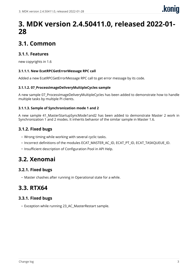# <span id="page-5-0"></span>**3. MDK version 2.4.50411.0, released 2022-01- 28**

# <span id="page-5-1"></span>**3.1. Common**

### **3.1.1. Features**

new copyrights in 1.6

#### **3.1.1.1. New EcatRPCGetErrorMessage RPC call**

Added a new EcatRPCGetErrorMessage RPC call to get error message by its code.

#### **3.1.1.2. 07\_ProcessImageDeliveryMultipleCycles sample**

A new sample 07\_ProcessImageDeliveryMultipleCycles has been added to demonstrate how to handle multiple tasks by multiple PI clients.

#### **3.1.1.3. Sample of Synchronization mode 1 and 2**

A new sample 41 MasterStartupSyncMode1and2 has been added to demonstrate Master 2 work in Synchronization 1 and 2 modes. It inherits behavior of the similar sample in Master 1.6.

### **3.1.2. Fixed bugs**

- Wrong timing while working with several cyclic tasks.
- Incorrect definitions of the modules ECAT\_MASTER\_AC\_ID, ECAT\_PT\_ID, ECAT\_TASKQUEUE\_ID.
- Insufficient description of Configuration Pool in API Help.

# <span id="page-5-2"></span>**3.2. Xenomai**

### **3.2.1. Fixed bugs**

• Master chashes after running in Operational state for a while.

## <span id="page-5-3"></span>**3.3. RTX64**

### **3.3.1. Fixed bugs**

• Exception while running 23\_AC\_MasterRestart sample.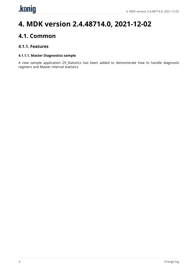# <span id="page-6-0"></span>**4. MDK version 2.4.48714.0, 2021-12-02**

## <span id="page-6-1"></span>**4.1. Common**

### **4.1.1. Features**

#### **4.1.1.1. Master Diagnostics sample**

A new sample application 29\_Statistics has been added to demonstrate how to handle diagnostic registers and Master internal statistics.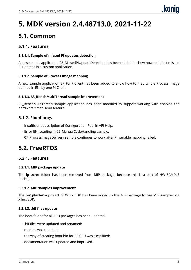# <span id="page-7-0"></span>**5. MDK version 2.4.48713.0, 2021-11-22**

# <span id="page-7-1"></span>**5.1. Common**

### **5.1.1. Features**

#### **5.1.1.1. Sample of missed PI updates detection**

A new sample application 28\_MissedPIUpdateDetection has been added to show how to detect missed PI updates in a custom application.

#### **5.1.1.2. Sample of Process Image mapping**

A new sample application 27 FullPIClient has been added to show how to map whole Process Image defined in ENI by one PI Client.

#### **5.1.1.3. 33\_BenchMultiThread sample improvement**

33\_BenchMultiThread sample application has been modified to support working with enabled the hardware timed send feature.

### **5.1.2. Fixed bugs**

- Insufficient description of Configuration Pool in API Help.
- Error ENI Loading in 05\_ManualCycleHandling sample.
- 07\_ProcessImageDelivery sample continues to work after PI variable mapping failed.

# <span id="page-7-2"></span>**5.2. FreeRTOS**

#### **5.2.1. Features**

#### **5.2.1.1. MIP package update**

The **ip\_cores** folder has been removed from MIP package, because this is a part of HW\_SAMPLE package.

#### **5.2.1.2. MIP samples improvement**

The **hw\_platform** project of Xilinx SDK has been added to the MIP package to run MIP samples via Xilinx SDK.

#### **5.2.1.3. .bif files update**

The boot folder for all CPU packages has been updated:

- .bif files were updated and renamed;
- readme was updated;
- the way of creating boot.bin for R5 CPU was simplified;
- documentation was updated and improved.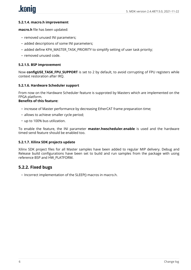# .koniq

#### **5.2.1.4. macro.h improvement**

**macro.h** file has been updated:

- removed unused INI parameters;
- added descriptions of some INI parameters;
- added define KPA\_MASTER\_TASK\_PRIORITY to simplify setting of user task priority;
- removed unused code.

#### **5.2.1.5. BSP improvement**

Now **configUSE TASK FPU SUPPORT** is set to 2 by default, to avoid corrupting of FPU registers while context restoration after IRQ.

#### **5.2.1.6. Hardware Scheduler support**

From now on the Hardware Scheduler feature is supproted by Masters which are implemented on the FPGA platform.

#### **Benefits of this feature:**

- increase of Master performance by decreasing EtherCAT frame preparation time;
- allows to achieve smaller cycle period;
- up to 100% bus utilization.

To enable the feature, the INI parameter **master.hwscheduler.enable** is used and the hardware timed send feature should be enabled too.

#### **5.2.1.7. Xilinx SDK projects update**

Xilinx SDK project files for all Master samples have been added to regular MIP delivery. Debug and Release build configurations have been set to build and run samples from the package with using reference BSP and HW\_PLATFORM.

#### **5.2.2. Fixed bugs**

• Incorrect implementation of the SLEEP() macros in macro.h.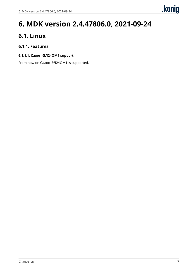# <span id="page-9-0"></span>**6. MDK version 2.4.47806.0, 2021-09-24**

# <span id="page-9-1"></span>**6.1. Linux**

### **6.1.1. Features**

#### **6.1.1.1. Салют-ЭЛ24ОМ1 support**

From now on Салют-ЭЛ24ОМ1 is supported.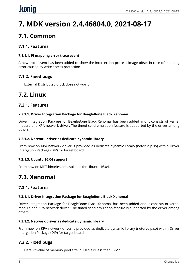# <span id="page-10-0"></span>.koniq

# **7. MDK version 2.4.46804.0, 2021-08-17**

# <span id="page-10-1"></span>**7.1. Common**

## **7.1.1. Features**

#### **7.1.1.1. PI mapping error trace event**

A new trace event has been added to show the intersection process image offset in case of mapping error caused by write access protection.

### **7.1.2. Fixed bugs**

• External Distributed Clock does not work.

# <span id="page-10-2"></span>**7.2. Linux**

### **7.2.1. Features**

#### **7.2.1.1. Driver Integration Package for BeagleBone Black Xenomai**

Driver Integration Package for BeagleBone Black Xenomai has been added and it consists of kernel module and KPA network driver. The timed send emulation feature is supported by the driver among others.

#### **7.2.1.2. Network driver as dedicate dynamic library**

From now on KPA network driver is provided as dedicate dynamic library (netdrvdip.so) within Driver Intergation Package (DIP) for target board.

#### **7.2.1.3. Ubuntu 16.04 support**

From now on MRT binaries are available for Ubuntu 16.04.

## <span id="page-10-3"></span>**7.3. Xenomai**

### **7.3.1. Features**

#### **7.3.1.1. Driver Integration Package for BeagleBone Black Xenomai**

Driver Integration Package for BeagleBone Black Xenomai has been added and it consists of kernel module and KPA network driver. The timed send emulation feature is supported by the driver among others.

#### **7.3.1.2. Network driver as dedicate dynamic library**

From now on KPA network driver is provided as dedicate dynamic library (netdrvdip.so) within Driver Intergation Package (DIP) for target board.

### **7.3.2. Fixed bugs**

• Default value of memory pool size in INI file is less than 32Mb.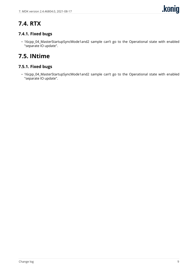# <span id="page-11-0"></span>**7.4. RTX**

## **7.4.1. Fixed bugs**

• 16cpp\_04\_MasterStartupSyncMode1and2 sample can't go to the Operational state with enabled "separate IO update".

# <span id="page-11-1"></span>**7.5. INtime**

## **7.5.1. Fixed bugs**

• 16cpp\_04\_MasterStartupSyncMode1and2 sample can't go to the Operational state with enabled "separate IO update".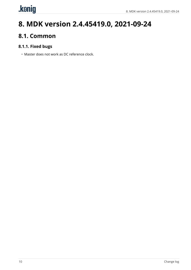# <span id="page-12-0"></span>.konig

# **8. MDK version 2.4.45419.0, 2021-09-24**

# <span id="page-12-1"></span>**8.1. Common**

## **8.1.1. Fixed bugs**

• Master does not work as DC reference clock.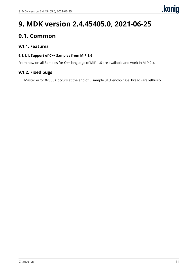# <span id="page-13-0"></span>**9. MDK version 2.4.45405.0, 2021-06-25**

# <span id="page-13-1"></span>**9.1. Common**

## **9.1.1. Features**

### **9.1.1.1. Support of C++ Samples from MIP 1.6**

From now on all Samples for C++ language of MIP 1.6 are available and work in MIP 2.x.

## **9.1.2. Fixed bugs**

• Master error 0x803A occurs at the end of C sample 31\_BenchSingleThreadParallelBusIo.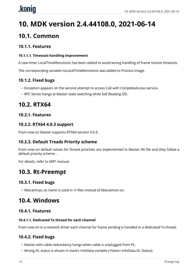# <span id="page-14-0"></span>.konig

# **10. MDK version 2.4.44108.0, 2021-06-14**

## <span id="page-14-1"></span>**10.1. Common**

### **10.1.1. Features**

#### **10.1.1.1. Timeouts handling improvement**

A new timer LocalTimeMonotonic has been added to avoid wrong handling of frame receive timeouts.

The corresponding variable nsLocalTimeMonotonic was added to Process Image.

### **10.1.2. Fixed bugs**

- Exception appears on the second attempt to access CoE with CompleteAccess service.
- RPC Server hangs at Master state switching while SoE Reading OD.

## <span id="page-14-2"></span>**10.2. RTX64**

### **10.2.1. Features**

### **10.2.2. RTX64 4.0.3 support**

From now on Master supports RTX64 version 4.0.3.

### **10.2.3. Default Treads Priority scheme**

From now on default values for thread priorities are implemented in Master INI file and they follow a default priority scheme .

For details, refer to MRT manual.

## <span id="page-14-3"></span>**10.3. Rt-Preempt**

#### **10.3.1. Fixed bugs**

• libecatmrpc.so name is used in .h files instead of libecatmsvr.so.

## <span id="page-14-4"></span>**10.4. Windows**

### **10.4.1. Features**

#### **10.4.1.1. Dedicated Tx thread for each channel**

From now on in a network driver each channel for frame sending is handled in a dedicated Tx thread.

### **10.4.2. Fixed bugs**

- Master with cable redundancy hangs when cable is unplugged from PC.
- Wrong DL status is shown in slave's InfoData variable (<Slave>.InfoData.DL Status).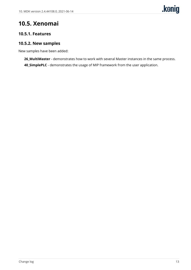# <span id="page-15-0"></span>**10.5. Xenomai**

### **10.5.1. Features**

### **10.5.2. New samples**

New samples have been added:

**26\_MultiMaster** - demonstrates how to work with several Master instances in the same process. **40\_SimplePLC** - demonstrates the usage of MIP framework from the user application.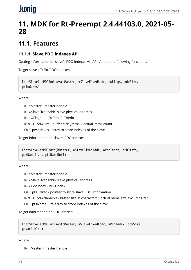# <span id="page-16-0"></span>.konig

# **11. MDK for Rt-Preempt 2.4.44103.0, 2021-05- 28**

## <span id="page-16-1"></span>**11.1. Features**

### **11.1.1. Slave PDO indexes API**

Getting information on slave's PDO indexes via API. Added the following functions.

To get slave's Tx/Rx PDO indexes:

```
EcatSlaveGetPDOIndexes(hMaster, wSlaveFixedAddr, dwFlags, pdwSize,
pwIndexes)
```
Where

IN hMaster - master handle

IN wSlaveFixedAddr- slave physical address

IN dwFlags - 1 - RxPdo, 2- TxPdo

IN/OUT pdwSize - buffer size (items) / actual items count

OUT pwIndexes - array to store indexes of the slave

To get information on slave's PDO indexes:

```
EcatSlaveGetPDOInfo(hMaster, wSlaveFixedAddr, wPdoIndex, pPDOInfo,
pdwNameSize, ptsNameBuff)
```
#### Where

IN hMaster - master handle

IN wSlaveFixedAddr- slave physical address

IN wPdoIndex - PDO index

OUT pPDOInfo - pointer to store slave PDO Information

IN/OUT pdwNameSiz - buffer size in characters / actual name size excluding '\0'

OUT ptsNameBuff- array to store indexes of the slave

To get information on PDO entries:

```
EcatSlaveGetPDOEntries(hMaster, wSlaveFixedAddr, wPdoIndex, pdwSize,
phVariables)
```
#### Where

IN hMaster - master handle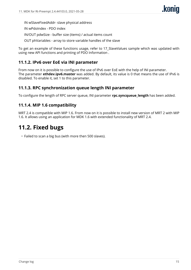IN wSlaveFixedAddr- slave physical address

IN wPdoIndex - PDO index

IN/OUT pdwSize - buffer size (items) / actual items count

OUT phVariables - array to store variable handles of the slave

To get an example of these functions usage, refer to 17\_SlaveValues sample which was updated with using new API functions and printing of PDO Information .

#### **11.1.2. IPv6 over EoE via INI parameter**

From now on it is possible to configure the use of IPv6 over EoE with the help of INI parameter. The parameter **ethdev.ipv6.master** was added. By default, its value is 0 that means the use of IPv6 is disabled. To enable it, set 1 to this parameter.

### **11.1.3. RPC synchronization queue length INI parameter**

To configure the length of RPC server queue, INI parameter **rpc.syncqueue\_length** has been added.

### **11.1.4. MIP 1.6 compatibility**

MRT 2.4 is compatible with MIP 1.6. From now on it is possible to install new version of MRT 2 with MIP 1.6. It allows using an application for MDK 1.6 with extended functionality of MRT 2.4.

## <span id="page-17-0"></span>**11.2. Fixed bugs**

• Failed to scan a big bus (with more then 500 slaves).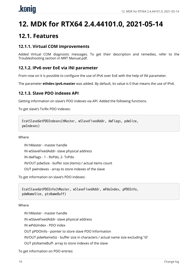# <span id="page-18-0"></span>**12. MDK for RTX64 2.4.44101.0, 2021-05-14**

# <span id="page-18-1"></span>**12.1. Features**

### **12.1.1. Virtual COM improvements**

Added Virtual COM diagnostic messages. To get their description and remedies, refer to the Troubleshooting section in MRT Manual.pdf.

### **12.1.2. IPv6 over EoE via INI parameter**

From now on it is possible to configure the use of IPv6 over EoE with the help of INI parameter.

The parameter **ethdev.ipv6.master** was added. By default, its value is 0 that means the use of IPv6.

### **12.1.3. Slave PDO indexes API**

Getting information on slave's PDO indexes via API. Added the following functions.

To get slave's Tx/Rx PDO indexes:

```
EcatSlaveGetPDOIndexes(hMaster, wSlaveFixedAddr, dwFlags, pdwSize,
pwIndexes)
```
#### Where

IN hMaster - master handle IN wSlaveFixedAddr- slave physical address IN dwFlags - 1 - RxPdo, 2- TxPdo IN/OUT pdwSize - buffer size (items) / actual items count OUT pwIndexes - array to store indexes of the slave

To get information on slave's PDO indexes:

```
EcatSlaveGetPDOInfo(hMaster, wSlaveFixedAddr, wPdoIndex, pPDOInfo,
pdwNameSize, ptsNameBuff)
```
#### Where

IN hMaster - master handle IN wSlaveFixedAddr- slave physical address IN wPdoIndex - PDO index OUT pPDOInfo - pointer to store slave PDO Information IN/OUT pdwNameSiz - buffer size in characters / actual name size excluding '\0' OUT ptsNameBuff- array to store indexes of the slave

To get information on PDO entries: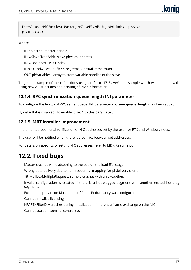EcatSlaveGetPDOEntries(hMaster, wSlaveFixedAddr, wPdoIndex, pdwSize, phVariables)

#### Where

IN hMaster - master handle IN wSlaveFixedAddr- slave physical address

IN wPdoIndex - PDO index

IN/OUT pdwSize - buffer size (items) / actual items count

OUT phVariables - array to store variable handles of the slave

To get an example of these functions usage, refer to 17\_SlaveValues sample which was updated with using new API functions and printing of PDO Information .

### **12.1.4. RPC synchronization queue length INI parameter**

To configure the length of RPC server queue, INI parameter **rpc.syncqueue length** has been added.

By default it is disabled. To enable it, set 1 to this parameter.

### **12.1.5. MRT Installer improvement**

Implemented additional verification of NIC addresses set by the user for RTX and Windows sides.

The user will be notified when there is a conflict between set addresses.

For details on specifics of setting NIC addresses, refer to MDK.Readme.pdf.

## <span id="page-19-0"></span>**12.2. Fixed bugs**

- Master crashes while attaching to the bus on the load ENI stage.
- Wrong data delivery due to non-sequential mapping for pi delivery client.
- 19\_MailboxMultipleRequests sample crashes with an exception.
- Invalid configuration is created if there is a hot-plugged segment with another nested hot-plug segment.
- Exception appears on Master stop if Cable Redundancy was configured.
- Cannot initialize licensing.
- KPARTXFilterDrv crashes during initialization if there is a frame exchange on the NIС.
- Cannot start an external control task.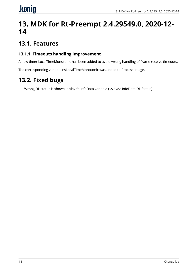# <span id="page-20-0"></span>**13. MDK for Rt-Preempt 2.4.29549.0, 2020-12- 14**

# <span id="page-20-1"></span>**13.1. Features**

### **13.1.1. Timeouts handling improvement**

A new timer LocalTimeMonotonic has been added to avoid wrong handling of frame receive timeouts.

The corresponding variable nsLocalTimeMonotonic was added to Process Image.

# <span id="page-20-2"></span>**13.2. Fixed bugs**

• Wrong DL status is shown in slave's InfoData variable (<Slave>.InfoData.DL Status).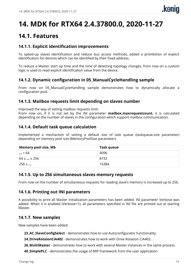# <span id="page-21-0"></span>**14. MDK for RTX64 2.4.37800.0, 2020-11-27**

# <span id="page-21-1"></span>**14.1. Features**

### **14.1.1. Explicit identification improvements**

To speed-up slaves identification and reduce bus access methods, added a prohibition of explicit identification for devices which can be identified by their fixed address.

To reduce a Master start up time and the time of detecting topology changes, from now on a custom logic is used to read explicit identification value from the device.

## **14.1.2. Dynamic configuration in 05\_ManualCycleHandling sample**

From now on 05\_ManualCycleHandling sample demonstrates how to dynamically allocate a configuration pool.

### **14.1.3. Mailbox requests limit depending on slaves number**

Improved the way of setting mailbox requests limit.

From now on, if it is not set by the INI parameter **mailbox.maxrequestcount**, it is calculated depending on the number of slaves in the configuration which support mailbox communication.

### **14.1.4. Default task queue calculation**

Implemented a mechanism of setting a default size of task queue (taskqueue.size parameter) depending on memory pool size (MemoryPoolSize parameter):

| Memory pool size, Mb | Task queue |
|----------------------|------------|
| $\ldots$ < 64        | 4096       |
| $64 \leq  \geq 256$  | 8192       |
| $256 \leq $          | 16384      |

#### **14.1.5. Up to 256 simultaneous slaves memory requests**

From now on the number of simultaneous requests for reading slave's memory is increased up to 256.

#### **14.1.6. Printing out INI parameters**

A possibility to print all Master initialization parameters has been added. INI parameter Verbose was added. When it is enabled (Verbose=1), all parameters specified in INI file are printed out at starting Master.

#### **14.1.7. New samples**

New samples have been added:

**23\_AC\_SlaveConfigSelect** - demonstrates how to use Autoconfigurator functionality.

**24\_DriveRotaionCiA402** - demonstrates how to work with Drive Rotation CiA402.

**26\_MultiMaster** - demonstrates how to work with several Master instances in the same process.

**40 SimplePLC** - demonstrates the usage of MIP framework from the user application.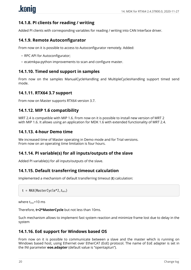### **14.1.8. PI clients for reading / writing**

Added PI clients with corresponding variables for reading / writing into CAN Interface driver.

#### **14.1.9. Remote Autoconfigurator**

From now on it is possible to access to Autoconfigurator remotely. Added:

- RPC API for Autoconfigurator;
- ecatmkpa-python improvements to scan and configure master.

#### **14.1.10. Timed send support in samples**

From now on the samples ManualCycleHandling and MultipleCyclesHandling support timed send mode.

#### **14.1.11. RTX64 3.7 support**

From now on Master supports RTX64 version 3.7.

#### **14.1.12. MIP 1.6 compatibility**

MRT 2.4 is compatible with MIP 1.6. From now on it is possible to install new version of MRT 2 with MIP 1.6. It allows using an application for MDK 1.6 with extended functionality of MRT 2.4.

#### **14.1.13. 4-hour Demo time**

We increased time of Master operating in Demo mode and for Trial versions. From now on an operating time limitation is four hours.

#### **14.1.14. PI variable(s) for all inputs/outputs of the slave**

Added PI variable(s) for all inputs/outputs of the slave.

#### **14.1.15. Default transferring timeout calculation**

Implemented a mechanism of default transferring timeout (**t**) calculation:

```
t = MAX(MasterCycle*2, t_{min})
```
where  $t_{\text{min}}$ =10 ms

Therefore, **t=2\*MasterCycle** but not less than 10ms.

Such mechanism allows to implement fast system reaction and minimize frame lost due to delay in the system

#### **14.1.16. EoE support for Windows based OS**

From now on it is possible to communicate between a slave and the master which is running on Windows based host, using Ethernet over EtherCAT (EoE) protocol. The name of EoE adapter is set in the INI parameter **eoe.adapter** (default value is "opentaptun").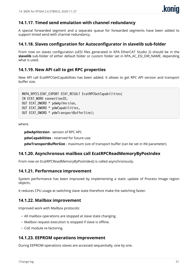### **14.1.17. Timed send emulation with channel redundancy**

A special forwarded segment and a separate queue for forwarded segments have been added to support timed send with channel redundancy.

#### **14.1.18. Slaves configuration for Autoconfigurator in slavelib sub-folder**

From now on slaves configuration (uESI files generated in KPA EtherCAT Studio 2) should be in the slavelib sub-folder of either default folder or custom folder set in KPA AC\_ESI\_DIR\_NAME, depending what is used.

#### **14.1.19. New API call to get RPC properties**

New API call EcatRPCGetCapabilities has been added. It allows to get RPC API version and transport buffer size.

MKPA RPCCLIENT EXPORT ECAT RESULT EcatRPCGetCapabilities( IN ECAT\_WORD connectionID, OUT ECAT\_DWORD \* pdwApiVersion, OUT ECAT\_DWORD \* pdwCapabilities, OUT ECAT\_DWORD \* pdwTransportBufferSize);

where

**pdwApiVersion** - version of RPC API;

**pdwCapabilities** - reserved for future use;

**pdwTransportBufferSize** - maximum size of transport buffer (can be set in INI parameter).

#### **14.1.20. Asynchronous mailbox call EcatRPCReadMemoryByPosIndex**

From now on EcatRPCReadMemoryByPosIndex() is called asynchronously.

#### **14.1.21. Performance improvement**

System performance has been improved by implementing a static update of Process Image region objects.

It reduces CPU usage at switching slave state therefore make the switching faster.

#### **14.1.22. Mailbox improvement**

Improved work with Mailbox protocols:

- All mailbox operations are stopped at slave state changing.
- Mailbox request execution is stopped if slave is offline.
- CoE module re-factoring.

### **14.1.23. EEPROM operations improvement**

During EEPROM operations slaves are accessed sequentially, one by one.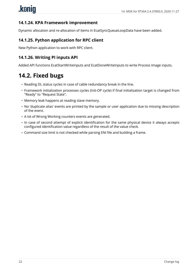### **14.1.24. KPA Framework improvement**

Dynamic allocation and re-allocation of items in EcatSyncQueueLoopData have been added.

### **14.1.25. Python application for RPC client**

New Python application to work with RPC client.

### **14.1.26. Writing PI inputs API**

Added API functions EcatStartWriteInputs and EcatDoneWriteInputs to write Process Image inputs.

# <span id="page-24-0"></span>**14.2. Fixed bugs**

- Reading DL status cycles in case of cable redundancy break in the line.
- Framework initialization processes cycles (Init-OP cycle) if final initialization target is changed from "Ready" to "Request State".
- Memory leak happens at reading slave memory.
- No 'duplicate alias' events are printed by the sample or user application due to missing description of the event.
- A lot of Wrong Working counters events are generated.
- In case of second attempt of explicit identification for the same physical device it always accepts configured identification value regardless of the result of the value check.
- Command size limit is not checked while parsing ENI file and building a frame.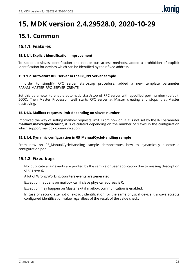# <span id="page-25-0"></span>**15. MDK version 2.4.29528.0, 2020-10-29**

## <span id="page-25-1"></span>**15.1. Common**

### **15.1.1. Features**

#### **15.1.1.1. Explicit identification improvement**

To speed-up slaves identification and reduce bus access methods, added a prohibition of explicit identification for devices which can be identified by their fixed address.

#### **15.1.1.2. Auto-start RPC server in the 08\_RPCServer sample**

In order to simplify RPC server start/stop procedure, added a new template parameter PARAM\_MASTER\_RPC\_SERVER\_CREATE.

Set this parameter to enable automatic start/stop of RPC server with specified port number (default: 5000). Then Master Processor itself starts RPC server at Master creating and stops it at Master destroying.

#### **15.1.1.3. Mailbox requests limit depending on slaves number**

Improved the way of setting mailbox requests limit. From now on, if it is not set by the INI parameter **mailbox.maxrequestcount,** it is calculated depending on the number of slaves in the configuration which support mailbox communication.

#### **15.1.1.4. Dynamic configuration in 05\_ManualCycleHandling sample**

From now on 05\_ManualCycleHandling sample demonstrates how to dynamically allocate a configuration pool.

#### **15.1.2. Fixed bugs**

- No 'duplicate alias' events are printed by the sample or user application due to missing description of the event.
- A lot of Wrong Working counters events are generated.
- Exception happens on mailbox call if slave physical address is 0.
- Exception may happen on Master exit if mailbox communication is enabled.
- In case of second attempt of explicit identification for the same physical device it always accepts configured identification value regardless of the result of the value check.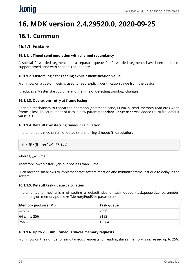# <span id="page-26-0"></span>**16. MDK version 2.4.29520.0, 2020-09-25**

## <span id="page-26-1"></span>**16.1. Common**

### **16.1.1. Feature**

#### **16.1.1.1. Timed send emulation with channel redundancy**

A special forwarded segment and a separate queue for forwarded segments have been added to support timed send with channel redundancy.

#### **16.1.1.2. Custom logic for reading explicit identification value**

From now on a custom logic is used to read explicit identification value from the device.

It reduces a Master start up time and the time of detecting topology changes.

#### **16.1.1.3. Operations retry at frame losing**

Added a mechanism to repeat the operation (command send, EEPROM read, memory read etc.) when frame is lost. To set number of tries, a new parameter **scheduler.retries** was added to INI file, default value is 3.

#### **16.1.1.4. Default transferring timeout calculation**

Implemented a mechanism of default transferring timeout (**t**) calculation:

```
t = MAX(MasterCycle*2, t_{min})
```
where  $t_{min}$ =10 ms

Therefore, t=2\*MasterCycle but not less than 10ms.

Such mechanism allows to implement fast system reaction and minimize frame lost due to delay in the system.

#### **16.1.1.5. Default task queue calculation**

Implemented a mechanism of setting a default size of task queue (taskqueue.size parameter) depending on memory pool size (MemoryPoolSize parameter):

| Memory pool size, Mb | Task queue |
|----------------------|------------|
| $\ldots$ < 64        | 4096       |
| $64 \leq  \geq 256$  | 8192       |
| $256 \leq $          | 16384      |

#### **16.1.1.6. Up to 256 simultaneous slaves memory requests**

From now on the number of simultaneous requests for reading slave's memory is increased up to 256.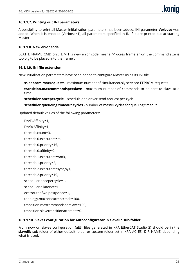

#### **16.1.1.7. Printing out INI parameters**

A possibility to print all Master initialization parameters has been added. INI parameter **Verbose** was added. When it is enabled (Verbose=1), all parameters specified in INI file are printed out at starting Master.

#### **16.1.1.8. New error code**

ECAT\_E\_FRAME\_CMD\_SIZE\_LIMIT is new error code means "Process frame error: the command size is too big to be placed into the frame".

#### **16.1.1.9. INI file extension**

New initialisation parameters have been added to configure Master using its INI file.

**ss.eeprom.maxrequests** - maximum number of simultaneously serviced EEPROM requests

**transition.maxcommandsperslave** - maximum number of commands to be sent to slave at a time.

**scheduler.oncepercycle** - schedule one driver send request per cycle.

**scheduler.queueing.timeout.cycles** - number of master cycles for queuing timeout.

Updated default values of the following parameters:

DrvTxAffinity=1, DrvRxAffinity=1, threads.count=3, threads.0.executors=rt, threads.0.priority=15, threads.0.affinity=2, threads.1.executors=work, threads.1.priority=2, threads.2.executors=sync,sys, threads.2.priority=15, scheduler.oncepercycle=1, scheduler.allatonce=1, ecatrouter.fwd.postponed=1, topology.maxconcurrentcmds=100, transition.maxcommandsperslave=100, transition.slavetransitionattempts=0.

#### **16.1.1.10. Slaves configuration for Autoconfigurator in slavelib sub-folder**

From now on slaves configuration (uESI files generated in KPA EtherCAT Studio 2) should be in the **slavelib** sub-folder of either default folder or custom folder set in KPA\_AC\_ESI\_DIR\_NAME, depending what is used.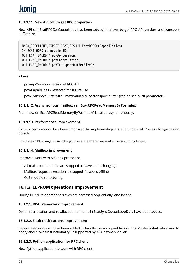

#### **16.1.1.11. New API call to get RPC properties**

New API call EcatRPCGetCapabilities has been added. It allows to get RPC API version and transport buffer size.

MKPA\_RPCCLIENT\_EXPORT ECAT\_RESULT EcatRPCGetCapabilities( IN ECAT\_WORD connectionID, OUT ECAT\_DWORD \* pdwApiVersion, OUT ECAT\_DWORD \* pdwCapabilities, OUT ECAT\_DWORD \* pdwTransportBufferSize);

#### where

pdwApiVersion - version of RPC API

pdwCapabilities - reserved for future use

pdwTransportBufferSize - maximum size of transport buffer (can be set in INI parameter )

#### **16.1.1.12. Asynchronous mailbox call EcatRPCReadMemoryByPosIndex**

From now on EcatRPCReadMemoryByPosIndex() is called asynchronously.

#### **16.1.1.13. Performance improvement**

System performance has been improved by implementing a static update of Process Image region objects.

It reduces CPU usage at switching slave state therefore make the switching faster.

#### **16.1.1.14. Mailbox improvement**

Improved work with Mailbox protocols:

- All mailbox operations are stopped at slave state changing.
- Mailbox request execution is stopped if slave is offline.
- CoE module re-factoring.

#### **16.1.2. EEPROM operations improvement**

During EEPROM operations slaves are accessed sequentially, one by one.

#### **16.1.2.1. KPA Framework improvement**

Dynamic allocation and re-allocation of items in EcatSyncQueueLoopData have been added.

#### **16.1.2.2. Fault notifications improvement**

Separate error codes have been added to handle memory pool fails during Master initialization and to notify about certain functionality unsupported by KPA network driver.

#### **16.1.2.3. Python application for RPC client**

New Python application to work with RPC client.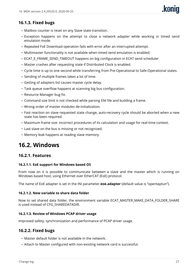### **16.1.3. Fixed bugs**

- Mailbox counter is reset on any Slave state transition.
- Exception happens on the attempt to close a network adapter while working in timed send emulation mode.
- Repeated FoE Download operation fails with error after an interrupted attempt.
- Multimaster functionality is not available when timed send emulation is enabled.
- ECAT E\_FRAME\_SEND\_TIMEOUT happens on big configuration in ECAT send scheduler
- Master crashes after requesting state if Distributed Clock is enabled.
- Cycle time is up to one second while transferring from Pre-Operational to Safe-Operational states.
- Sending of multiple frames takes a lot of time.
- Getting of adapters list causes master cycle delay.
- Task queue overflow happens at scanning big bus configuration.
- Resource Manager bug fix.
- Command size limit is not checked while parsing ENI file and building a frame.
- Wrong order of master modules de-initialization.
- Fast reaction on slave requested state change, auto-recovery cycle should be aborted when a new state has been required.
- Maximum frame size: incorrect procedures of its calculation and usage for real-time context.
- Last slave on the bus is missing or not recognized.
- Memory leak happens at reading slave memory.

# <span id="page-29-0"></span>**16.2. Windows**

#### **16.2.1. Features**

#### **16.2.1.1. EoE support for Windows based OS**

From now on it is possible to communicate between a slave and the master which is running on Windows based host, using Ethernet over EtherCAT (EoE) protocol.

The name of EoE adapter is set in the INI parameter **eoe.adapter** (default value is "opentaptun").

#### **16.2.1.2. New variable to share data folder**

Now to set shared data folder, the environment variable ECAT\_MASTER\_MAKE\_DATA\_FOLDER\_SHARE is used instead of CFG\_SHAREDATADIR.

#### **16.2.1.3. Review of Windows PCAP driver usage**

Improved safety, synchronization and performance of PCAP driver usage.

#### **16.2.2. Fixed bugs**

- Master default folder is not available in the network.
- Attach to Master configured with non-existing network card is successful.

**kanin**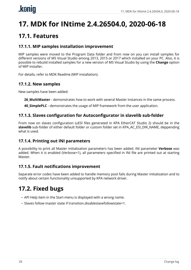# <span id="page-30-0"></span>**17. MDK for INtime 2.4.26504.0, 2020-06-18**

# <span id="page-30-1"></span>**17.1. Features**

### **17.1.1. MIP samples installation improvement**

MIP samples were moved to the Program Data folder and from now on you can install samples for different versions of MS Visual Studio among 2013, 2015 or 2017 which installed on your PC. Also, it is possible to rebuild installed samples for a new version of MS Visual Studio by using the **Change** option of MIP installer.

For details, refer to MDK Readme (MIP installation).

### **17.1.2. New samples**

New samples have been added:

**26\_MultiMaster** - demonstrates how to work with several Master instances in the same process.

**40\_SimplePLC** - demonstrates the usage of MIP framework from the user application.

#### **17.1.3. Slaves configuration for Autoconfigurator in slavelib sub-folder**

From now on slaves configuration (uESI files generated in KPA EtherCAT Studio 2) should be in the **slavelib** sub-folder of either default folder or custom folder set in KPA\_AC\_ESI\_DIR\_NAME, deppending what is used.

#### **17.1.4. Printing out INI parameters**

A possibility to print all Master initialization parameters has been added. INI parameter **Verbose** was added. When it is enabled (Verbose=1), all parameters specified in INI file are printed out at starting Master.

#### **17.1.5. Fault notifications improvement**

Separate error codes have been added to handle memory pool fails during Master initialization and to notify about certain functionality unsupported by KPA network driver.

## <span id="page-30-2"></span>**17.2. Fixed bugs**

- API Help item in the Start menu is displayed with a wrong name.
- Slaves follow master state if transition.disableslavefollowstate=1.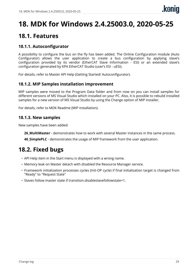# <span id="page-31-0"></span>**18. MDK for Windows 2.4.25003.0, 2020-05-25**

## <span id="page-31-1"></span>**18.1. Features**

### **18.1.1. Autoconfigurator**

A possibility to configure the bus on the fly has been added. The Online Configuration module (Auto Configurator) allows the user application to create a bus configuration by applying slave's configuration provided by its vendor (EtherCAT Slave Information - ESI) or an extended slave's configuration generated by KPA EtherCAT Studio (user's ESI - uESI).

For details, refer to Master API Help (Getting Started/ Autoconfigurator).

### **18.1.2. MIP Samples installation improvement**

MIP samples were moved to the Program Data folder and from now on you can install samples for different versions of MS Visual Studio which installed on your PC. Also, it is possible to rebuild installed samples for a new version of MS Visual Studio by using the Change option of MIP installer.

For details, refer to MDK Readme (MIP installation).

### **18.1.3. New samples**

New samples have been added:

**26 MultiMaster** - demonstrates how to work with several Master instances in the same process.

**40 SimplePLC** - demonstrates the usage of MIP framework from the user application.

## <span id="page-31-2"></span>**18.2. Fixed bugs**

- API Help item in the Start menu is displayed with a wrong name.
- Memory leak on Master detach with disabled the Resource Manager service.
- Framework initialization processes cycles (Init-OP cycle) if final initialization target is changed from "Ready" to "Request State"
- Slaves follow master state if transition.disableslavefollowstate=1.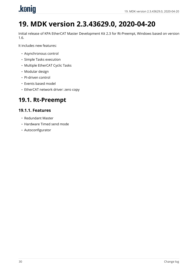<span id="page-32-0"></span>

# **19. MDK version 2.3.43629.0, 2020-04-20**

Initial release of KPA EtherCAT Master Development Kit 2.3 for Rt-Preempt, Windows based on version 1.6.

It includes new features:

- Asynchronous control
- Simple Tasks execution
- Multiple EtherCAT Cyclic Tasks
- Modular design
- PI-driven control
- Events based model
- EtherCAT network driver: zero copy

## <span id="page-32-1"></span>**19.1. Rt-Preempt**

#### **19.1.1. Features**

- Redundant Master
- Hardware Timed send mode
- Autoconfigurator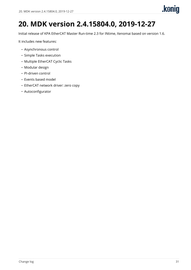# <span id="page-33-0"></span>**20. MDK version 2.4.15804.0, 2019-12-27**

Initial release of KPA EtherCAT Master Run-time 2.3 for INtime, Xenomai based on version 1.6.

It includes new features:

- Asynchronous control
- Simple Tasks execution
- Multiple EtherCAT Cyclic Tasks
- Modular design
- PI-driven control
- Events based model
- EtherCAT network driver: zero copy
- Autoconfigurator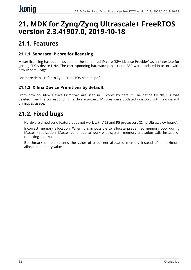# <span id="page-34-0"></span>**21. MDK for Zynq/Zynq Ultrascale+ FreeRTOS version 2.3.41907.0, 2019-10-18**

# <span id="page-34-1"></span>**21.1. Features**

### **21.1.1. Separate IP core for licensing**

Maser licensing has been moved into the separated IP core (KPA License Provider) as an interface for getting FPGA device DNA. The corresponding hardware project and BSP were updated in accord with new IP core usage.

For more detail, refer to Zynq.FreeRTOS.Manual.pdf.

### **21.1.2. Xilinx Device Primitives by default**

From now on Xilinx Device Primitives are used in IP cores by default. The define XILINX\_KPA was deleted from the corresponding hardware project, IP cores were updated in accord with new default primitives usage.

# <span id="page-34-2"></span>**21.2. Fixed bugs**

- Hardware timed send feature does not work with A53 and R5 processors (Zynq Ultrascale+ board).
- Incorrect memory allocation. When it is impossible to allocate predefined memory pool during Master initialization, Master continues to work with system memory allocation calls instead of reporting an error.
- Benchmark sample returns the value of a current allocated memory instead of a maximum allocated memory value.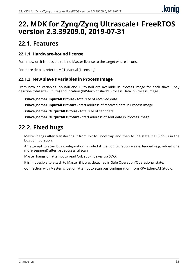# <span id="page-35-0"></span>**22. MDK for Zynq/Zynq Ultrascale+ FreeRTOS version 2.3.39209.0, 2019-07-31**

# <span id="page-35-1"></span>**22.1. Features**

### **22.1.1. Hardware-bound license**

Form now on it is possible to bind Master license to the target where it runs.

For more details, refer to MRT Manual (Licensing).

### **22.1.2. New slave's variables in Process Image**

From now on variables InputAll and OutputAll are available in Process image for each slave. They describe total size (BitSize) and location (BitStart) of slave's Process Data in Process Image.

**<slave\_name>.InputAll.BitSize** - total size of received data

**<slave\_name>.InputAll.BitStart** - start address of received data in Process Image

**<slave\_name>.OutputAll.BitSize** - total size of sent data

**<slave\_name>.OutputAll.BitStart** - start address of sent data in Process Image

## <span id="page-35-2"></span>**22.2. Fixed bugs**

- Master hangs after transferring it from Init to Bootstrap and then to Init state if EL6695 is in the bus configuration.
- An attempt to scan bus configuration is failed if the configuration was extended (e.g. added one more segment) after last successful scan.
- Master hangs on attempt to read CoE sub-indexes via SDO.
- It is impossible to attach to Master if it was detached in Safe Operation/Operational state.
- Connection with Master is lost on attempt to scan bus configuration from KPA EtherCAT Studio.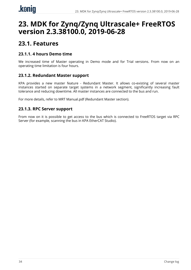<span id="page-36-0"></span>

# **23. MDK for Zynq/Zynq Ultrascale+ FreeRTOS version 2.3.38100.0, 2019-06-28**

## <span id="page-36-1"></span>**23.1. Features**

#### **23.1.1. 4 hours Demo time**

We increased time of Master operating in Demo mode and for Trial versions. From now on an operating time limitation is four hours.

#### **23.1.2. Redundant Master support**

KPA provides a new master feature - Redundant Master. It allows co-existing of several master instances started on separate target systems in a network segment, significantly increasing fault tolerance and reducing downtime. All master instances are connected to the bus and run.

For more details, refer to MRT Manual.pdf (Redundant Master section).

#### **23.1.3. RPC Server support**

From now on it is possible to get access to the bus which is connected to FreeRTOS target via RPC Server (for example, scanning the bus in KPA EtherCAT Studio).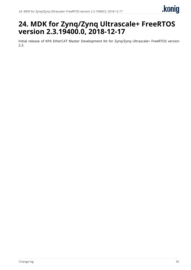# <span id="page-37-0"></span>**24. MDK for Zynq/Zynq Ultrascale+ FreeRTOS version 2.3.19400.0, 2018-12-17**

Initial release of KPA EtherCAT Master Development Kit for Zynq/Zynq Ultrascale+ FreeRTOS version 2.3.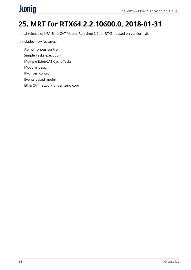# <span id="page-38-0"></span>.konig

# **25. MRT for RTX64 2.2.10600.0, 2018-01-31**

Initial release of KPA EtherCAT Master Run-time 2.2 for RTX64 based on version 1.6.

It includes new features:

- Asynchronous control
- Simple Tasks execution
- Multiple EtherCAT Cyclic Tasks
- Modular design
- PI-driven control
- Events based model
- EtherCAT network driver: zero copy